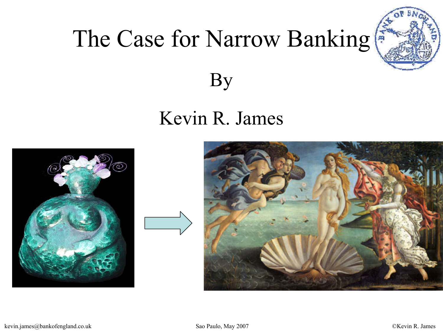# The Case for Narrow Banking



By

### Kevin R. James

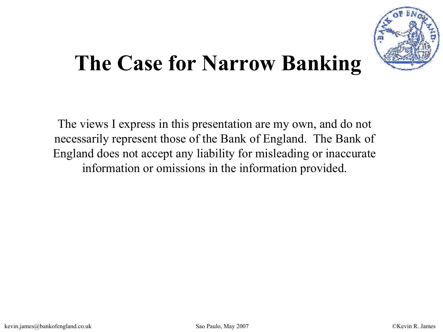

### **The Case for Narrow Banking**

The views I express in this presentation are my own, and do not necessarily represent those of the Bank of England. The Bank of England does not accept any liability for misleading or inaccurate information or omissions in the information provided.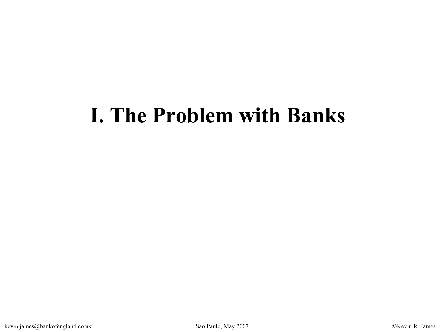### **I. The Problem with Banks**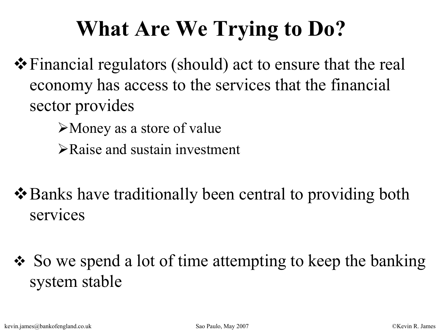### **What Are We Trying to Do?**

- Financial regulators (should) act to ensure that the real economy has access to the services that the financial sector provides
	- $\triangleright$  Money as a store of value
	- $\triangleright$  Raise and sustain investment
- **\*** Banks have traditionally been central to providing both services
- So we spend a lot of time attempting to keep the banking system stable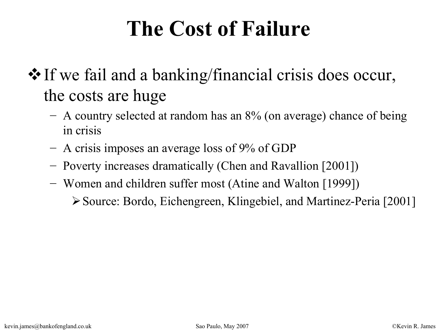### **The Cost of Failure**

#### **\*** If we fail and a banking/financial crisis does occur, the costs are huge

- − A country selected at random has an 8% (on average) chance of being in crisis
- − A crisis imposes an average loss of 9% of GDP
- − Poverty increases dramatically (Chen and Ravallion [2001])
- − Women and children suffer most (Atine and Walton [1999])

¾Source: Bordo, Eichengreen, Klingebiel, and Martinez-Peria [2001]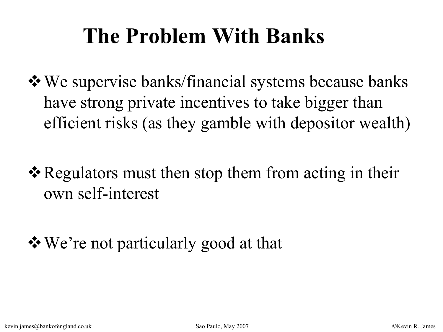### **The Problem With Banks**

- We supervise banks/financial systems because banks have strong private incentives to take bigger than efficient risks (as they gamble with depositor wealth)
- \* Regulators must then stop them from acting in their own self-interest
- We're not particularly good at that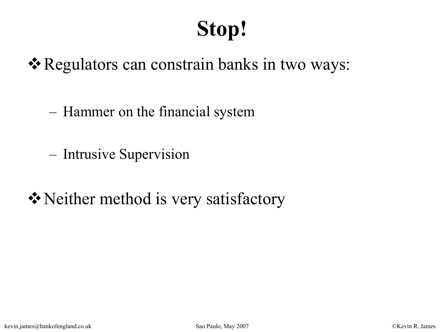## **Stop!**

\* Regulators can constrain banks in two ways:

- Hammer on the financial system
- Intrusive Supervision
- **❖ Neither method is very satisfactory**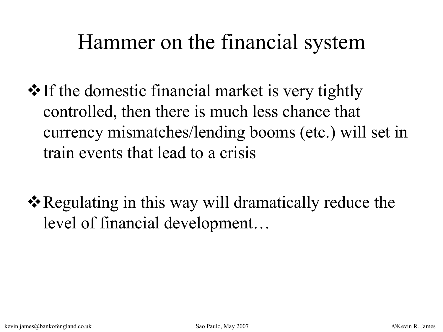### Hammer on the financial system

- $\triangle$  If the domestic financial market is very tightly controlled, then there is much less chance that currency mismatches/lending booms (etc.) will set in train events that lead to a crisis
- Regulating in this way will dramatically reduce the level of financial development…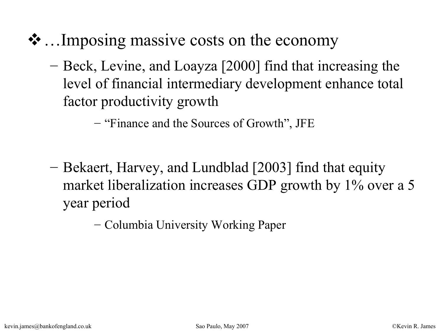- $\bullet$  ... Imposing massive costs on the economy
	- − Beck, Levine, and Loayza [2000] find that increasing the level of financial intermediary development enhance total factor productivity growth
		- − "Finance and the Sources of Growth", JFE
	- −– Bekaert, Harvey, and Lundblad [2003] find that equity market liberalization increases GDP growth by 1% over a 5 year period
		- − Columbia University Working Paper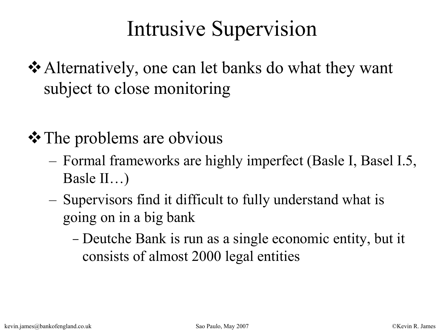### Intrusive Supervision

- Alternatively, one can let banks do what they want subject to close monitoring
- $\triangle$  The problems are obvious
	- Formal frameworks are highly imperfect (Basle I, Basel I.5, Basle II…)
	- Supervisors find it difficult to fully understand what is going on in a big bank
		- Deutche Bank is run as a single economic entity, but it consists of almost 2000 legal entities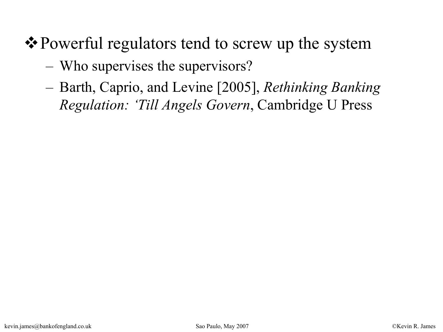#### $\triangle$  **Powerful regulators tend to screw up the system**

- Who supervises the supervisors?
- Barth, Caprio, and Levine [2005], *Rethinking Banking Regulation: 'Till Angels Govern*, Cambridge U Press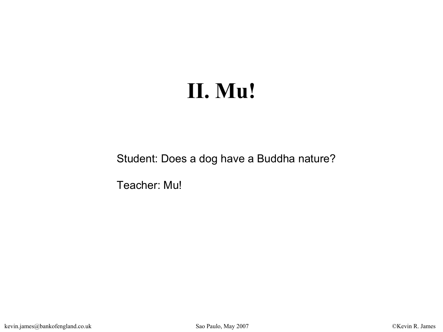## **II. Mu!**

Student: Does a dog have a Buddha nature?

Teacher: Mu!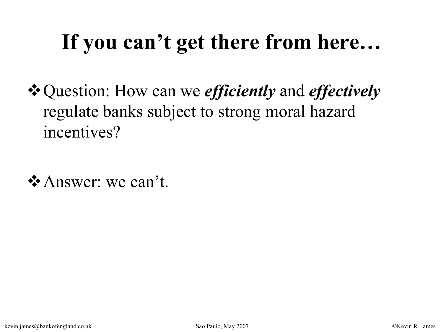### **If you can't get there from here…**

- Question: How can we *efficiently* and *effectively* regulate banks subject to strong moral hazard incentives?
- ❖ Answer: we can't.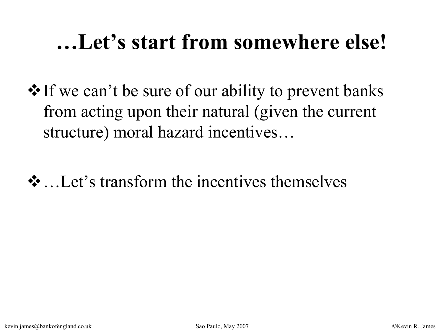### **…Let's start from somewhere else!**

 $\cdot \cdot$  If we can't be sure of our ability to prevent banks from acting upon their natural (given the current structure) moral hazard incentives…

**❖** ... Let's transform the incentives themselves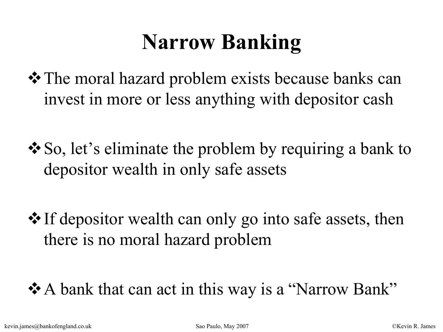### **Narrow Banking**

The moral hazard problem exists because banks can invest in more or less anything with depositor cash

So, let's eliminate the problem by requiring a bank to depositor wealth in only safe assets

 $\triangle$  If depositor wealth can only go into safe assets, then there is no moral hazard problem

\* A bank that can act in this way is a "Narrow Bank"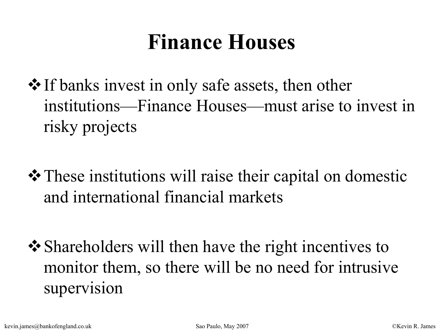### **Finance Houses**

- $\cdot$  **If banks invest in only safe assets, then other** institutions—Finance Houses—must arise to invest in risky projects
- These institutions will raise their capital on domestic and international financial markets
- Shareholders will then have the right incentives to monitor them, so there will be no need for intrusive supervision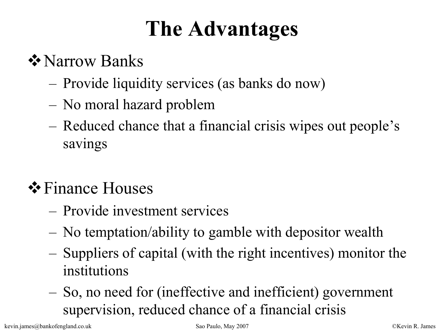### **The Advantages**

#### **☆ Narrow Banks**

- Provide liquidity services (as banks do now)
- No moral hazard problem
- Reduced chance that a financial crisis wipes out people's savings

#### $\triangle$ **Finance Houses**

- Provide investment services
- No temptation/ability to gamble with depositor wealth
- Suppliers of capital (with the right incentives) monitor the institutions
- So, no need for (ineffective and inefficient) government supervision, reduced chance of a financial crisis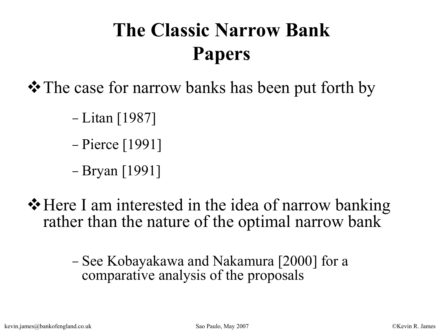### **The Classic Narrow BankPapers**

 $\triangle$  **The case for narrow banks has been put forth by** 

- -Litan [1987]
- -Pierce [1991]
- -Bryan [1991]

**\*** Here I am interested in the idea of narrow banking rather than the nature of the optimal narrow bank

> -See Kobayakawa and Nakamura [2000] for a comparative analysis of the proposals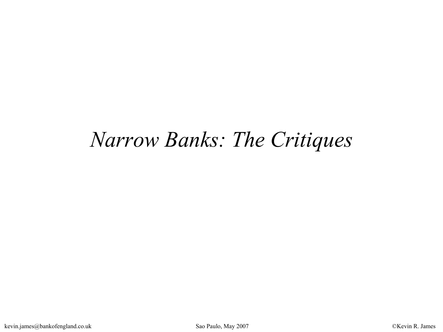### *Narrow Banks: The Critiques*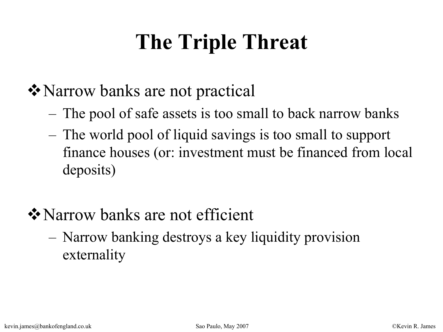## **The Triple Threat**

#### $\diamond$  Narrow banks are not practical

- –The pool of safe assets is too small to back narrow banks
- – The world pool of liquid savings is too small to support finance houses (or: investment must be financed from local deposits)

#### ❖ Narrow banks are not efficient

– Narrow banking destroys a key liquidity provision externality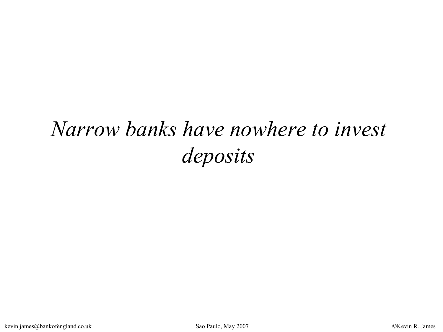### *Narrow banks have nowhere to invest deposits*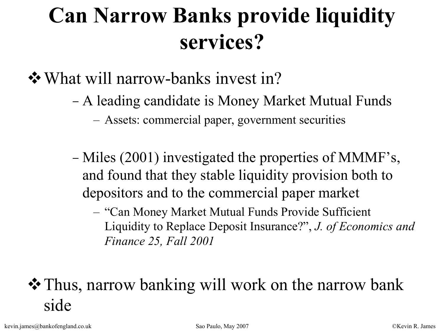### **Can Narrow Banks provide liquidity services?**

#### What will narrow-banks invest in?

- A leading candidate is Money Market Mutual Funds
	- Assets: commercial paper, government securities
- Miles (2001) investigated the properties of MMMF's, and found that they stable liquidity provision both to depositors and to the commercial paper market
	- "Can Money Market Mutual Funds Provide Sufficient Liquidity to Replace Deposit Insurance?", *J. of Economics and Finance 25, Fall 2001*

#### Thus, narrow banking will work on the narrow bank side

kevin.james@bankofengland.co.uk Sao Paulo, May 2007 ©Kevin R. James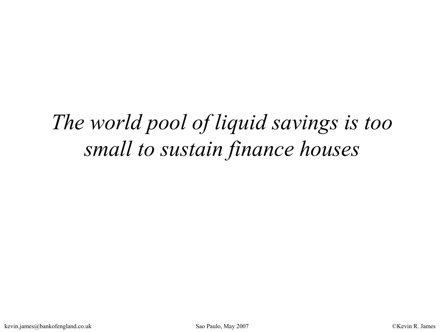### *The world pool of liquid savings is too small to sustain finance houses*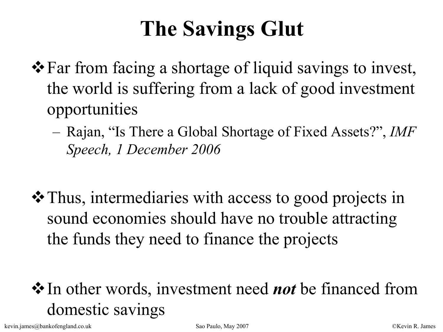### **The Savings Glut**

- Far from facing a shortage of liquid savings to invest, the world is suffering from a lack of good investment opportunities
	- – Rajan, "Is There a Global Shortage of Fixed Assets?", *IMF Speech, 1 December 2006*
- Thus, intermediaries with access to good projects in sound economies should have no trouble attracting the funds they need to finance the projects

### **V**•In other words, investment need *not* be financed from domestic savings

kevin.james@bankofengland.co.uk Sao Paulo, May 2007 ©Kevin R. James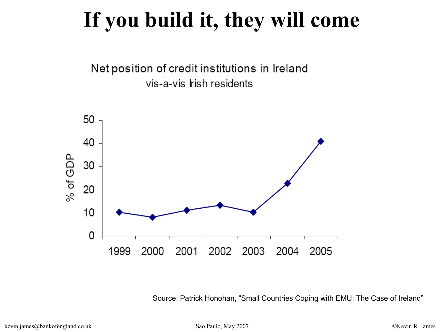### **If you build it, they will come**

Net position of credit institutions in Ireland vis-a-vis Irish residents



Source: Patrick Honohan, "Small Countries Coping with EMU: The Case of Ireland"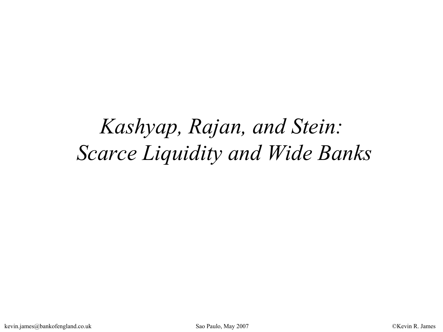### *Kashyap, Rajan, and Stein: Scarce Liquidity and Wide Banks*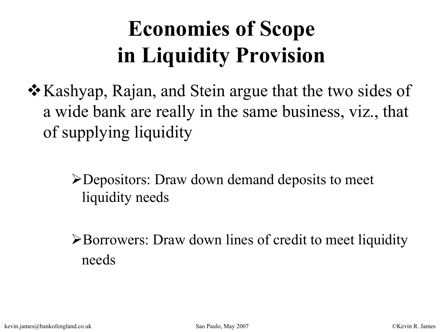## **Economies of Scope in Liquidity Provision**

\* Kashyap, Rajan, and Stein argue that the two sides of a wide bank are really in the same business, viz., that of supplying liquidity

> ¾Depositors: Draw down demand deposits to meet liquidity needs

¾Borrowers: Draw down lines of credit to meet liquidity needs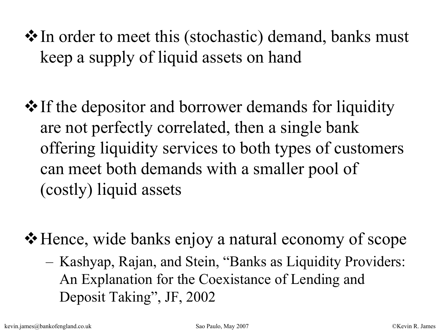- ◆ In order to meet this (stochastic) demand, banks must keep a supply of liquid assets on hand
- **\*** If the depositor and borrower demands for liquidity are not perfectly correlated, then a single bank offering liquidity services to both types of customers can meet both demands with a smaller pool of (costly) liquid assets

**\*** Hence, wide banks enjoy a natural economy of scope

 Kashyap, Rajan, and Stein, "Banks as Liquidity Providers: An Explanation for the Coexistance of Lending and Deposit Taking", JF, 2002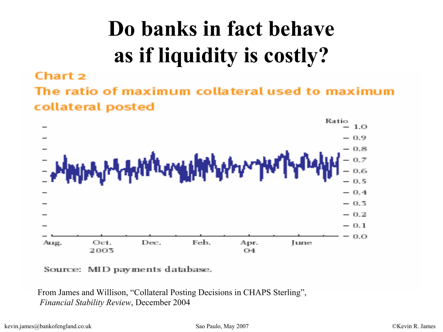### **Do banks in fact behave as if liquidity is costly?**

#### Chart 2

The ratio of maximum collateral used to maximum collateral posted



Source: MID payments database.

From James and Willison, "Collateral Posting Decisions in CHAPS Sterling", *Financial Stability Review*, December 2004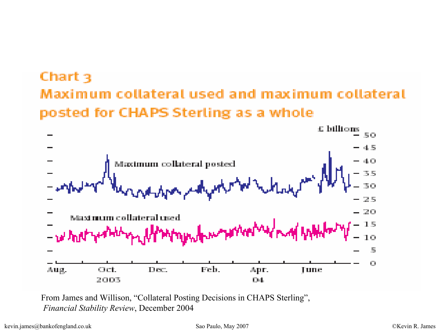#### Chart 3 Maximum collateral used and maximum collateral posted for CHAPS Sterling as a whole



From James and Willison, "Collateral Posting Decisions in CHAPS Sterling", *Financial Stability Review*, December 2004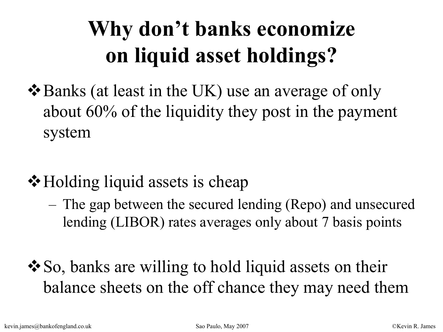## **Why don't banks economize on liquid asset holdings?**

Banks (at least in the UK) use an average of only about 60% of the liquidity they post in the payment system

#### **☆ Holding liquid assets is cheap**

– The gap between the secured lending (Repo) and unsecured lending (LIBOR) rates averages only about 7 basis points

 $\bullet$  So, banks are willing to hold liquid assets on their balance sheets on the off chance they may need them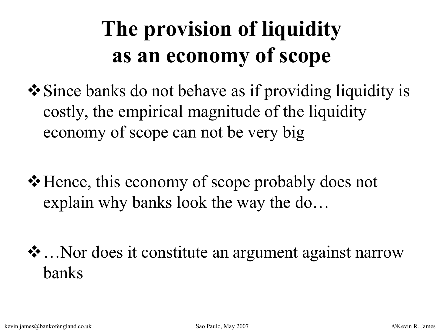### **The provision of liquidity as an economy of scope**

Since banks do not behave as if providing liquidity is costly, the empirical magnitude of the liquidity economy of scope can not be very big

Hence, this economy of scope probably does not explain why banks look the way the do…

•  $\bullet$  ... Nor does it constitute an argument against narrow banks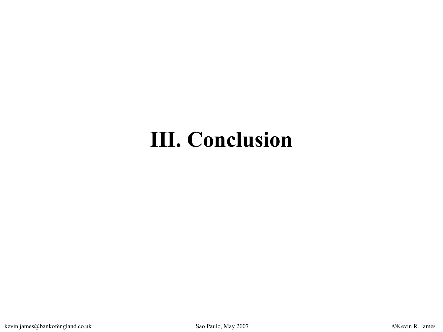### **III. Conclusion**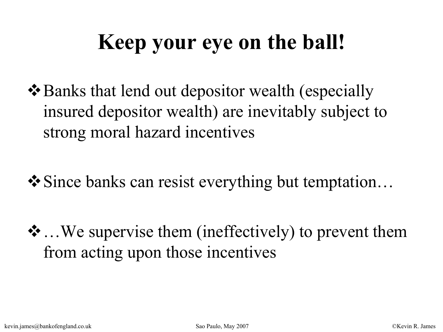### **Keep your eye on the ball!**

 $\triangle$  **Banks that lend out depositor wealth (especially** insured depositor wealth) are inevitably subject to strong moral hazard incentives

❖ Since banks can resist everything but temptation...

…We supervise them (ineffectively) to prevent them from acting upon those incentives